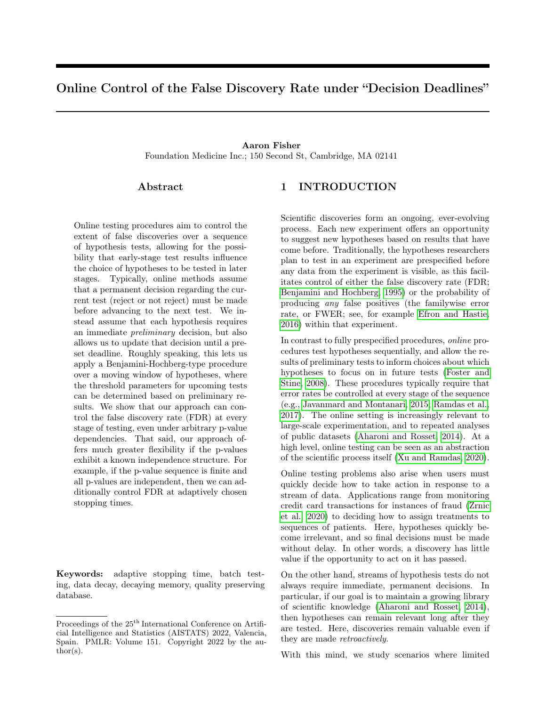# Online Control of the False Discovery Rate under "Decision Deadlines"

## Aaron Fisher Foundation Medicine Inc.; 150 Second St, Cambridge, MA 02141

## Abstract

Online testing procedures aim to control the extent of false discoveries over a sequence of hypothesis tests, allowing for the possibility that early-stage test results influence the choice of hypotheses to be tested in later stages. Typically, online methods assume that a permanent decision regarding the current test (reject or not reject) must be made before advancing to the next test. We instead assume that each hypothesis requires an immediate preliminary decision, but also allows us to update that decision until a preset deadline. Roughly speaking, this lets us apply a Benjamini-Hochberg-type procedure over a moving window of hypotheses, where the threshold parameters for upcoming tests can be determined based on preliminary results. We show that our approach can control the false discovery rate (FDR) at every stage of testing, even under arbitrary p-value dependencies. That said, our approach offers much greater flexibility if the p-values exhibit a known independence structure. For example, if the p-value sequence is finite and all p-values are independent, then we can additionally control FDR at adaptively chosen stopping times.

Keywords: adaptive stopping time, batch testing, data decay, decaying memory, quality preserving database.

## 1 INTRODUCTION

Scientific discoveries form an ongoing, ever-evolving process. Each new experiment offers an opportunity to suggest new hypotheses based on results that have come before. Traditionally, the hypotheses researchers plan to test in an experiment are prespecified before any data from the experiment is visible, as this facilitates control of either the false discovery rate (FDR; [Benjamini and Hochberg, 1995\)](#page-7-0) or the probability of producing any false positives (the familywise error rate, or FWER; see, for example [Efron and Hastie,](#page-7-1) [2016\)](#page-7-1) within that experiment.

In contrast to fully prespecified procedures, online procedures test hypotheses sequentially, and allow the results of preliminary tests to inform choices about which hypotheses to focus on in future tests [\(Foster and](#page-7-2) [Stine, 2008\)](#page-7-2). These procedures typically require that error rates be controlled at every stage of the sequence (e.g., [Javanmard and Montanari, 2015;](#page-7-3) [Ramdas et al.,](#page-7-4) [2017\)](#page-7-4). The online setting is increasingly relevant to large-scale experimentation, and to repeated analyses of public datasets [\(Aharoni and Rosset, 2014\)](#page-7-5). At a high level, online testing can be seen as an abstraction of the scientific process itself [\(Xu and Ramdas, 2020\)](#page-7-6).

Online testing problems also arise when users must quickly decide how to take action in response to a stream of data. Applications range from monitoring credit card transactions for instances of fraud [\(Zrnic](#page-7-7) [et al., 2020\)](#page-7-7) to deciding how to assign treatments to sequences of patients. Here, hypotheses quickly become irrelevant, and so final decisions must be made without delay. In other words, a discovery has little value if the opportunity to act on it has passed.

On the other hand, streams of hypothesis tests do not always require immediate, permanent decisions. In particular, if our goal is to maintain a growing library of scientific knowledge [\(Aharoni and Rosset, 2014\)](#page-7-5), then hypotheses can remain relevant long after they are tested. Here, discoveries remain valuable even if they are made retroactively.

With this mind, we study scenarios where limited

Proceedings of the  $25<sup>th</sup>$  International Conference on Artificial Intelligence and Statistics (AISTATS) 2022, Valencia, Spain. PMLR: Volume 151. Copyright 2022 by the author(s).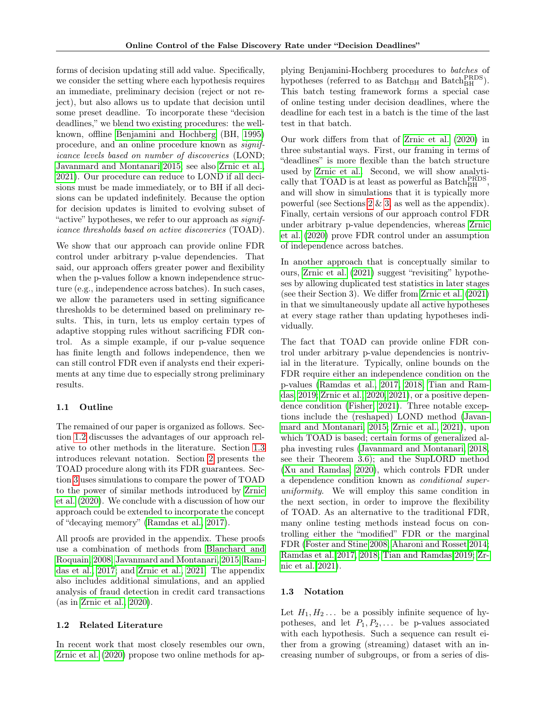forms of decision updating still add value. Specifically, we consider the setting where each hypothesis requires an immediate, preliminary decision (reject or not reject), but also allows us to update that decision until some preset deadline. To incorporate these "decision deadlines," we blend two existing procedures: the wellknown, offline [Benjamini and Hochberg](#page-7-0) (BH, [1995\)](#page-7-0) procedure, and an online procedure known as significance levels based on number of discoveries (LOND; [Javanmard and Montanari 2015;](#page-7-3) see also [Zrnic et al.,](#page-7-8) [2021\)](#page-7-8). Our procedure can reduce to LOND if all decisions must be made immediately, or to BH if all decisions can be updated indefinitely. Because the option for decision updates is limited to evolving subset of "active" hypotheses, we refer to our approach as *signif*icance thresholds based on active discoveries (TOAD).

We show that our approach can provide online FDR control under arbitrary p-value dependencies. That said, our approach offers greater power and flexibility when the p-values follow a known independence structure (e.g., independence across batches). In such cases, we allow the parameters used in setting significance thresholds to be determined based on preliminary results. This, in turn, lets us employ certain types of adaptive stopping rules without sacrificing FDR control. As a simple example, if our p-value sequence has finite length and follows independence, then we can still control FDR even if analysts end their experiments at any time due to especially strong preliminary results.

## 1.1 Outline

The remained of our paper is organized as follows. Section [1.2](#page-1-0) discusses the advantages of our approach relative to other methods in the literature. Section [1.3](#page-1-1) introduces relevant notation. Section [2](#page-2-0) presents the TOAD procedure along with its FDR guarantees. Section [3](#page-4-0) uses simulations to compare the power of TOAD to the power of similar methods introduced by [Zrnic](#page-7-7) [et al.](#page-7-7) [\(2020\)](#page-7-7). We conclude with a discussion of how our approach could be extended to incorporate the concept of "decaying memory" [\(Ramdas et al., 2017\)](#page-7-4).

All proofs are provided in the appendix. These proofs use a combination of methods from [Blanchard and](#page-7-9) [Roquain, 2008;](#page-7-9) [Javanmard and Montanari, 2015;](#page-7-3) [Ram](#page-7-4)[das et al., 2017;](#page-7-4) and [Zrnic et al., 2021.](#page-7-8) The appendix also includes additional simulations, and an applied analysis of fraud detection in credit card transactions (as in [Zrnic et al., 2020\)](#page-7-7).

## <span id="page-1-0"></span>1.2 Related Literature

In recent work that most closely resembles our own, [Zrnic et al.](#page-7-7) [\(2020\)](#page-7-7) propose two online methods for applying Benjamini-Hochberg procedures to batches of hypotheses (referred to as  $\text{Batch}_{\text{BH}}$  and  $\text{Batch}_{\text{BH}}^{\text{PRDS}}$ ). This batch testing framework forms a special case of online testing under decision deadlines, where the deadline for each test in a batch is the time of the last test in that batch.

Our work differs from that of [Zrnic et al.](#page-7-7) [\(2020\)](#page-7-7) in three substantial ways. First, our framing in terms of "deadlines" is more flexible than the batch structure used by [Zrnic et al..](#page-7-7) Second, we will show analytically that TOAD is at least as powerful as  $\text{Batch}_{\text{BH}}^{\text{PRDS}},$ and will show in simulations that it is typically more powerful (see Sections [2](#page-2-0) & [3,](#page-4-0) as well as the appendix). Finally, certain versions of our approach control FDR under arbitrary p-value dependencies, whereas [Zrnic](#page-7-7) [et al.](#page-7-7) [\(2020\)](#page-7-7) prove FDR control under an assumption of independence across batches.

In another approach that is conceptually similar to ours, [Zrnic et al.](#page-7-8) [\(2021\)](#page-7-8) suggest "revisiting" hypotheses by allowing duplicated test statistics in later stages (see their Section 3). We differ from [Zrnic et al.](#page-7-8) [\(2021\)](#page-7-8) in that we simultaneously update all active hypotheses at every stage rather than updating hypotheses individually.

The fact that TOAD can provide online FDR control under arbitrary p-value dependencies is nontrivial in the literature. Typically, online bounds on the FDR require either an independence condition on the p-values [\(Ramdas et al., 2017,](#page-7-4) [2018;](#page-7-10) [Tian and Ram](#page-7-11)[das, 2019;](#page-7-11) [Zrnic et al., 2020,](#page-7-7) [2021\)](#page-7-8), or a positive dependence condition [\(Fisher, 2021\)](#page-7-12). Three notable exceptions include the (reshaped) LOND method [\(Javan](#page-7-3)[mard and Montanari, 2015;](#page-7-3) [Zrnic et al., 2021\)](#page-7-8), upon which TOAD is based; certain forms of generalized alpha investing rules [\(Javanmard and Montanari, 2018,](#page-7-13) see their Theorem 3.6); and the SupLORD method [\(Xu and Ramdas, 2020\)](#page-7-6), which controls FDR under a dependence condition known as conditional superuniformity. We will employ this same condition in the next section, in order to improve the flexibility of TOAD. As an alternative to the traditional FDR, many online testing methods instead focus on controlling either the "modified" FDR or the marginal FDR [\(Foster and Stine 2008;](#page-7-2) [Aharoni and Rosset 2014;](#page-7-5) [Ramdas et al. 2017,](#page-7-4) [2018;](#page-7-10) [Tian and Ramdas 2019;](#page-7-11) [Zr](#page-7-8)[nic et al. 2021\)](#page-7-8).

## <span id="page-1-1"></span>1.3 Notation

Let  $H_1, H_2, \ldots$  be a possibly infinite sequence of hypotheses, and let  $P_1, P_2, \ldots$  be p-values associated with each hypothesis. Such a sequence can result either from a growing (streaming) dataset with an increasing number of subgroups, or from a series of dis-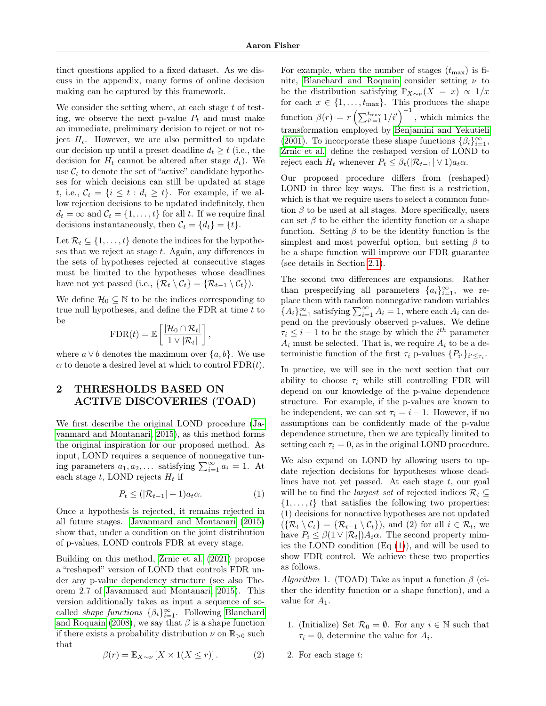tinct questions applied to a fixed dataset. As we discuss in the appendix, many forms of online decision making can be captured by this framework.

We consider the setting where, at each stage  $t$  of testing, we observe the next p-value  $P_t$  and must make an immediate, preliminary decision to reject or not reject  $H_t$ . However, we are also permitted to update our decision up until a preset deadline  $d_t \geq t$  (i.e., the decision for  $H_t$  cannot be altered after stage  $d_t$ ). We use  $\mathcal{C}_t$  to denote the set of "active" candidate hypotheses for which decisions can still be updated at stage t, i.e.,  $C_t = \{i \le t : d_i \ge t\}$ . For example, if we allow rejection decisions to be updated indefinitely, then  $d_t = \infty$  and  $\mathcal{C}_t = \{1, \ldots, t\}$  for all t. If we require final decisions instantaneously, then  $\mathcal{C}_t = \{d_t\} = \{t\}.$ 

Let  $\mathcal{R}_t \subseteq \{1, \ldots, t\}$  denote the indices for the hypotheses that we reject at stage t. Again, any differences in the sets of hypotheses rejected at consecutive stages must be limited to the hypotheses whose deadlines have not yet passed (i.e.,  $\{ \mathcal{R}_t \setminus \mathcal{C}_t \} = \{ \mathcal{R}_{t-1} \setminus \mathcal{C}_t \}.$ 

We define  $\mathcal{H}_0 \subseteq \mathbb{N}$  to be the indices corresponding to true null hypotheses, and define the FDR at time  $t$  to be

$$
\text{FDR}(t) = \mathbb{E}\left[\frac{|\mathcal{H}_0 \cap \mathcal{R}_t|}{1 \vee |\mathcal{R}_t|}\right],
$$

where  $a \vee b$  denotes the maximum over  $\{a, b\}$ . We use  $\alpha$  to denote a desired level at which to control FDR(t).

# <span id="page-2-0"></span>2 THRESHOLDS BASED ON ACTIVE DISCOVERIES (TOAD)

We first describe the original LOND procedure [\(Ja](#page-7-3)[vanmard and Montanari, 2015\)](#page-7-3), as this method forms the original inspiration for our proposed method. As input, LOND requires a sequence of nonnegative tuning parameters  $a_1, a_2, \ldots$  satisfying  $\sum_{i=1}^{\infty} a_i = 1$ . At each stage t, LOND rejects  $H_t$  if

<span id="page-2-1"></span>
$$
P_t \leq (|\mathcal{R}_{t-1}| + 1)a_t \alpha.
$$
 (1)

Once a hypothesis is rejected, it remains rejected in all future stages. [Javanmard and Montanari](#page-7-3) [\(2015\)](#page-7-3) show that, under a condition on the joint distribution of p-values, LOND controls FDR at every stage.

Building on this method, [Zrnic et al.](#page-7-8) [\(2021\)](#page-7-8) propose a "reshaped" version of LOND that controls FDR under any p-value dependency structure (see also Theorem 2.7 of [Javanmard and Montanari, 2015\)](#page-7-3). This version additionally takes as input a sequence of socalled *shape functions*  $\{\beta_i\}_{i=1}^{\infty}$ . Following [Blanchard](#page-7-9) [and Roquain](#page-7-9) [\(2008\)](#page-7-9), we say that  $\beta$  is a shape function if there exists a probability distribution  $\nu$  on  $\mathbb{R}_{>0}$  such that

<span id="page-2-2"></span>
$$
\beta(r) = \mathbb{E}_{X \sim \nu} \left[ X \times 1(X \le r) \right]. \tag{2}
$$

For example, when the number of stages  $(t_{\text{max}})$  is fi-nite, [Blanchard and Roquain](#page-7-9) consider setting  $\nu$  to be the distribution satisfying  $\mathbb{P}_{X\sim\nu}(X = x) \propto 1/x$ for each  $x \in \{1, \ldots, t_{\text{max}}\}$ . This produces the shape function  $\beta(r) = r \left( \sum_{i'=1}^{t_{\text{max}}} 1/i' \right)^{-1}$ , which mimics the transformation employed by [Benjamini and Yekutieli](#page-7-14) [\(2001\)](#page-7-14). To incorporate these shape functions  $\{\beta_i\}_{i=1}^{\infty}$ , [Zrnic et al.](#page-7-8) define the reshaped version of LOND to reject each  $H_t$  whenever  $P_t \leq \beta_t (|\mathcal{R}_{t-1}| \vee 1) a_t \alpha$ .

Our proposed procedure differs from (reshaped) LOND in three key ways. The first is a restriction, which is that we require users to select a common function  $\beta$  to be used at all stages. More specifically, users can set  $\beta$  to be either the identity function or a shape function. Setting  $\beta$  to be the identity function is the simplest and most powerful option, but setting  $\beta$  to be a shape function will improve our FDR guarantee (see details in Section [2.1\)](#page-3-0).

The second two differences are expansions. Rather than prespecifying all parameters  ${a_i}_{i=1}^{\infty}$ , we replace them with random nonnegative random variables  ${A_i}_{i=1}^{\infty}$  satisfying  $\sum_{i=1}^{\infty} A_i = 1$ , where each  $A_i$  can depend on the previously observed p-values. We define  $\tau_i \leq i-1$  to be the stage by which the  $i^{th}$  parameter  $A_i$  must be selected. That is, we require  $A_i$  to be a deterministic function of the first  $\tau_i$  p-values  $\{P_{i'}\}_{i' \leq \tau_i}$ .

In practice, we will see in the next section that our ability to choose  $\tau_i$  while still controlling FDR will depend on our knowledge of the p-value dependence structure. For example, if the p-values are known to be independent, we can set  $\tau_i = i - 1$ . However, if no assumptions can be confidently made of the p-value dependence structure, then we are typically limited to setting each  $\tau_i = 0$ , as in the original LOND procedure.

We also expand on LOND by allowing users to update rejection decisions for hypotheses whose deadlines have not yet passed. At each stage  $t$ , our goal will be to find the *largest set* of rejected indices  $\mathcal{R}_t \subseteq$  $\{1, \ldots, t\}$  that satisfies the following two properties: (1) decisions for nonactive hypotheses are not updated  $({\mathcal{R}}_t \setminus {\mathcal{C}}_t) = {\mathcal{R}}_{t-1} \setminus {\mathcal{C}}_t$ , and (2) for all  $i \in {\mathcal{R}}_t$ , we have  $P_i \leq \beta(1 \vee |\mathcal{R}_t|)A_i \alpha$ . The second property mimics the LOND condition (Eq [\(1\)](#page-2-1)), and will be used to show FDR control. We achieve these two properties as follows.

Algorithm 1. (TOAD) Take as input a function  $\beta$  (either the identity function or a shape function), and a value for  $A_1$ .

- 1. (Initialize) Set  $\mathcal{R}_0 = \emptyset$ . For any  $i \in \mathbb{N}$  such that  $\tau_i = 0$ , determine the value for  $A_i$ .
- 2. For each stage t: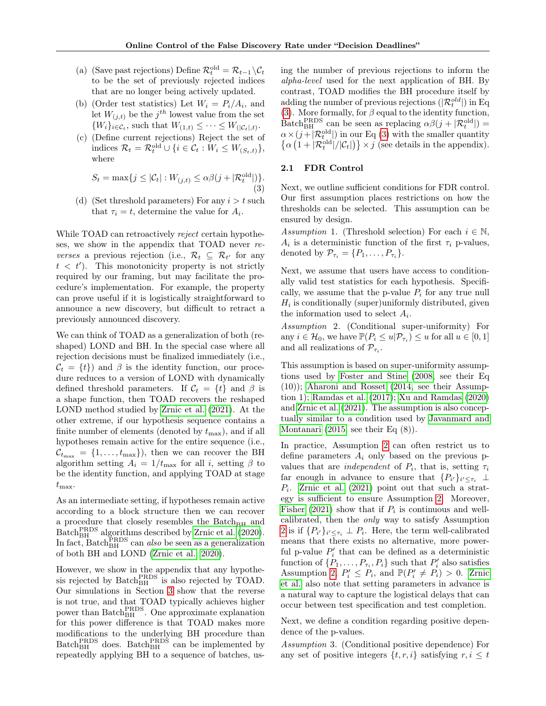- (a) (Save past rejections) Define  $\mathcal{R}_t^{\text{old}} = \mathcal{R}_{t-1} \backslash \mathcal{C}_t$ to be the set of previously rejected indices that are no longer being actively updated.
- (b) (Order test statistics) Let  $W_i = P_i/A_i$ , and let  $W_{(j,t)}$  be the  $j^{th}$  lowest value from the set  $\{W_i\}_{i \in \mathcal{C}_t}$ , such that  $W_{(1,t)} \leq \cdots \leq W_{(|\mathcal{C}_t|,t)}$ .
- (c) (Define current rejections) Reject the set of indices  $\mathcal{R}_t = \mathcal{R}_t^{\text{old}} \cup \{i \in \mathcal{C}_t : W_i \leq W_{(S_t, t)}\},\$ where

<span id="page-3-1"></span>
$$
S_t = \max\{j \le |\mathcal{C}_t| : W_{(j,t)} \le \alpha \beta (j + |\mathcal{R}_t^{\text{old}}|) \}.
$$
\n(3)

(d) (Set threshold parameters) For any  $i>t$  such that  $\tau_i = t$ , determine the value for  $A_i$ .

While TOAD can retroactively reject certain hypotheses, we show in the appendix that TOAD never reverses a previous rejection (i.e.,  $\mathcal{R}_t \subseteq \mathcal{R}_{t'}$  for any  $t < t'$ ). This monotonicity property is not strictly required by our framing, but may facilitate the procedure's implementation. For example, the property can prove useful if it is logistically straightforward to announce a new discovery, but difficult to retract a previously announced discovery.

We can think of TOAD as a generalization of both (reshaped) LOND and BH. In the special case where all rejection decisions must be finalized immediately (i.e.,  $\mathcal{C}_t = \{t\}$  and  $\beta$  is the identity function, our procedure reduces to a version of LOND with dynamically defined threshold parameters. If  $C_t = \{t\}$  and  $\beta$  is a shape function, then TOAD recovers the reshaped LOND method studied by [Zrnic et al.](#page-7-8) [\(2021\)](#page-7-8). At the other extreme, if our hypothesis sequence contains a finite number of elements (denoted by  $t_{\text{max}}$ ), and if all hypotheses remain active for the entire sequence (i.e.,  $\mathcal{C}_{t_{\text{max}}} = \{1, \ldots, t_{\text{max}}\}\text{, then we can recover the BH}$ algorithm setting  $A_i = 1/t_{\text{max}}$  for all i, setting  $\beta$  to be the identity function, and applying TOAD at stage  $t_{\max}$ .

As an intermediate setting, if hypotheses remain active according to a block structure then we can recover a procedure that closely resembles the  $Batch_{BH}$  and Batch $_{\text{BH}}^{\text{PRDS}}$  algorithms described by [Zrnic et al.](#page-7-7) [\(2020\)](#page-7-7). In fact, Batch<sup>PRDS</sup> can *also* be seen as a generalization of both BH and LOND [\(Zrnic et al., 2020\)](#page-7-7).

However, we show in the appendix that any hypothesis rejected by  $\text{Batch}_{\text{BH}}^{\text{PRDS}}$  is also rejected by TOAD. Our simulations in Section [3](#page-4-0) show that the reverse is not true, and that TOAD typically achieves higher power than Batch<sup>PRDS</sup>. One approximate explanation for this power difference is that TOAD makes more modifications to the underlying BH procedure than  $\text{Batch}_{\text{BH}}^{\text{PRDS}}$  does.  $\text{Batch}_{\text{BH}}^{\text{PRDS}}$  can be implemented by repeatedly applying BH to a sequence of batches, using the number of previous rejections to inform the alpha-level used for the next application of BH. By contrast, TOAD modifies the BH procedure itself by adding the number of previous rejections  $(|\mathcal{R}^{old}_t|)$  in Eq [\(3\)](#page-3-1). More formally, for  $\beta$  equal to the identity function, Batch<sub>BH</sub> can be seen as replacing  $\alpha\beta(j + |R_t^{\text{old}}|) =$  $\alpha \times (j + |\mathcal{R}^{\text{old}}_{t}|)$  in our Eq [\(3\)](#page-3-1) with the smaller quantity  $\{\alpha (1+|\mathcal{R}^{\text{old}}_t|/|\mathcal{C}_t|)\}\times j$  (see details in the appendix).

#### <span id="page-3-0"></span>2.1 FDR Control

Next, we outline sufficient conditions for FDR control. Our first assumption places restrictions on how the thresholds can be selected. This assumption can be ensured by design.

<span id="page-3-4"></span>Assumption 1. (Threshold selection) For each  $i \in \mathbb{N}$ ,  $A_i$  is a deterministic function of the first  $\tau_i$  p-values, denoted by  $\mathcal{P}_{\tau_i} = \{P_1, \ldots, P_{\tau_i}\}.$ 

Next, we assume that users have access to conditionally valid test statistics for each hypothesis. Specifically, we assume that the p-value  $P_i$  for any true null  $H_i$  is conditionally (super)uniformly distributed, given the information used to select  $A_i$ .

<span id="page-3-2"></span>Assumption 2. (Conditional super-uniformity) For any  $i \in \mathcal{H}_0$ , we have  $\mathbb{P}(P_i \leq u | \mathcal{P}_{\tau_i}) \leq u$  for all  $u \in [0, 1]$ and all realizations of  $\mathcal{P}_{\tau_i}$ .

This assumption is based on super-uniformity assumptions used by [Foster and Stine](#page-7-2) [\(2008,](#page-7-2) see their Eq (10)); [Aharoni and Rosset](#page-7-5) [\(2014,](#page-7-5) see their Assumption 1); [Ramdas et al.](#page-7-4) [\(2017\)](#page-7-4); [Xu and Ramdas](#page-7-6) [\(2020\)](#page-7-6) and [Zrnic et al.](#page-7-8) [\(2021\)](#page-7-8). The assumption is also conceptually similar to a condition used by [Javanmard and](#page-7-3) [Montanari](#page-7-3) [\(2015,](#page-7-3) see their Eq (8)).

In practice, Assumption [2](#page-3-2) can often restrict us to define parameters  $A_i$  only based on the previous pvalues that are *independent* of  $P_i$ , that is, setting  $\tau_i$ far enough in advance to ensure that  $\{P_{i'}\}_{i' \leq \tau_i}$   $\perp$  $P_i$ . [Zrnic et al.](#page-7-8) [\(2021\)](#page-7-8) point out that such a strategy is sufficient to ensure Assumption [2.](#page-3-2) Moreover, [Fisher](#page-7-12) [\(2021\)](#page-7-12) show that if  $P_i$  is continuous and wellcalibrated, then the only way to satisfy Assumption [2](#page-3-2) is if  $\{P_{i'}\}_{i'\leq\tau_i} \perp P_i$ . Here, the term well-calibrated means that there exists no alternative, more powerful p-value  $P'_i$  that can be defined as a deterministic function of  $\{P_1, \ldots, P_{\tau_i}, P_i\}$  such that  $P'_i$  also satisfies Assumption [2,](#page-3-2)  $P'_i \leq P_i$ , and  $\mathbb{P}(P'_i \neq P_i) > 0$ . [Zrnic](#page-7-8) [et al.](#page-7-8) also note that setting parameters in advance is a natural way to capture the logistical delays that can occur between test specification and test completion.

Next, we define a condition regarding positive dependence of the p-values.

<span id="page-3-3"></span>Assumption 3. (Conditional positive dependence) For any set of positive integers  $\{t, r, i\}$  satisfying  $r, i \leq t$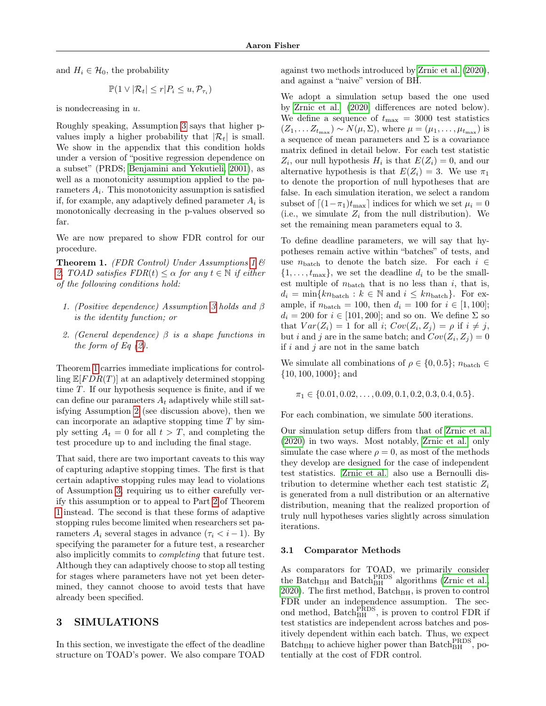and  $H_i \in \mathcal{H}_0$ , the probability

$$
\mathbb{P}(1 \vee |\mathcal{R}_t| \leq r | P_i \leq u, \mathcal{P}_{\tau_i})
$$

is nondecreasing in  $u$ .

Roughly speaking, Assumption [3](#page-3-3) says that higher pvalues imply a higher probability that  $|\mathcal{R}_t|$  is small. We show in the appendix that this condition holds under a version of "positive regression dependence on a subset" (PRDS; [Benjamini and Yekutieli, 2001\)](#page-7-14), as well as a monotonicity assumption applied to the parameters  $A_i$ . This monotonicity assumption is satisfied if, for example, any adaptively defined parameter  $A_i$  is monotonically decreasing in the p-values observed so far.

We are now prepared to show FDR control for our procedure.

<span id="page-4-1"></span>**Theorem [1](#page-3-4).** (FDR Control) Under Assumptions 1  $\&$ [2,](#page-3-2) TOAD satisfies  $FDR(t) \leq \alpha$  for any  $t \in \mathbb{N}$  if either of the following conditions hold:

- 1. (Positive dependence) Assumption [3](#page-3-3) holds and β is the identity function; or
- <span id="page-4-2"></span>2. (General dependence)  $\beta$  is a shape functions in the form of Eq  $(2)$ .

Theorem [1](#page-4-1) carries immediate implications for controlling  $\mathbb{E}[FDR(T)]$  at an adaptively determined stopping time T. If our hypothesis sequence is finite, and if we can define our parameters  $A_t$  adaptively while still satisfying Assumption [2](#page-3-2) (see discussion above), then we can incorporate an adaptive stopping time  $T$  by simply setting  $A_t = 0$  for all  $t > T$ , and completing the test procedure up to and including the final stage.

That said, there are two important caveats to this way of capturing adaptive stopping times. The first is that certain adaptive stopping rules may lead to violations of Assumption [3,](#page-3-3) requiring us to either carefully verify this assumption or to appeal to Part [2](#page-4-2) of Theorem [1](#page-4-1) instead. The second is that these forms of adaptive stopping rules become limited when researchers set parameters  $A_i$  several stages in advance  $(\tau_i < i - 1)$ . By specifying the parameter for a future test, a researcher also implicitly commits to completing that future test. Although they can adaptively choose to stop all testing for stages where parameters have not yet been determined, they cannot choose to avoid tests that have already been specified.

# <span id="page-4-0"></span>3 SIMULATIONS

In this section, we investigate the effect of the deadline structure on TOAD's power. We also compare TOAD

against two methods introduced by [Zrnic et al.](#page-7-7) [\(2020\)](#page-7-7), and against a "naive" version of BH.

We adopt a simulation setup based the one used by [Zrnic et al.](#page-7-7) [\(2020;](#page-7-7) differences are noted below). We define a sequence of  $t_{\text{max}} = 3000$  test statistics  $(Z_1, \ldots Z_{t_{\text{max}}}) \sim N(\mu, \Sigma)$ , where  $\mu = (\mu_1, \ldots, \mu_{t_{\text{max}}})$  is a sequence of mean parameters and  $\Sigma$  is a covariance matrix defined in detail below. For each test statistic  $Z_i$ , our null hypothesis  $H_i$  is that  $E(Z_i) = 0$ , and our alternative hypothesis is that  $E(Z_i) = 3$ . We use  $\pi_1$ to denote the proportion of null hypotheses that are false. In each simulation iteration, we select a random subset of  $\left[ (1 - \pi_1)t_{\text{max}} \right]$  indices for which we set  $\mu_i = 0$ (i.e., we simulate  $Z_i$  from the null distribution). We set the remaining mean parameters equal to 3.

To define deadline parameters, we will say that hypotheses remain active within "batches" of tests, and use  $n_{\text{batch}}$  to denote the batch size. For each  $i \in$  $\{1, \ldots, t_{\text{max}}\},$  we set the deadline  $d_i$  to be the smallest multiple of  $n_{\text{batch}}$  that is no less than i, that is,  $d_i = \min\{kn_{\text{batch}} : k \in \mathbb{N} \text{ and } i \leq kn_{\text{batch}}\}.$  For example, if  $n_{\text{batch}} = 100$ , then  $d_i = 100$  for  $i \in [1, 100]$ ;  $d_i = 200$  for  $i \in [101, 200]$ ; and so on. We define  $\Sigma$  so that  $Var(Z_i) = 1$  for all i;  $Cov(Z_i, Z_j) = \rho$  if  $i \neq j$ , but *i* and *j* are in the same batch; and  $Cov(Z_i, Z_j) = 0$ if  $i$  and  $j$  are not in the same batch

We simulate all combinations of  $\rho \in \{0, 0.5\}$ ;  $n_{\text{batch}} \in$ {10, 100, 1000}; and

$$
\pi_1 \in \{0.01, 0.02, \ldots, 0.09, 0.1, 0.2, 0.3, 0.4, 0.5\}.
$$

For each combination, we simulate 500 iterations.

Our simulation setup differs from that of [Zrnic et al.](#page-7-7) [\(2020\)](#page-7-7) in two ways. Most notably, [Zrnic et al.](#page-7-7) only simulate the case where  $\rho = 0$ , as most of the methods they develop are designed for the case of independent test statistics. [Zrnic et al.](#page-7-7) also use a Bernoulli distribution to determine whether each test statistic  $Z_i$ is generated from a null distribution or an alternative distribution, meaning that the realized proportion of truly null hypotheses varies slightly across simulation iterations.

#### 3.1 Comparator Methods

As comparators for TOAD, we primarily consider the Batch<sub>BH</sub> and Batch<sub>BH</sub><sup>PRDS</sup> algorithms [\(Zrnic et al.,](#page-7-7) [2020\)](#page-7-7). The first method,  $Batch_{BH}$ , is proven to control FDR under an independence assumption. The second method,  $\text{Batch}_{\text{BH}}^{\text{PRDS}}$ , is proven to control FDR if test statistics are independent across batches and positively dependent within each batch. Thus, we expect  $\text{Batch}_{\text{BH}}$  to achieve higher power than  $\text{Batch}_{\text{BH}}^{\text{PRDS}}$ , potentially at the cost of FDR control.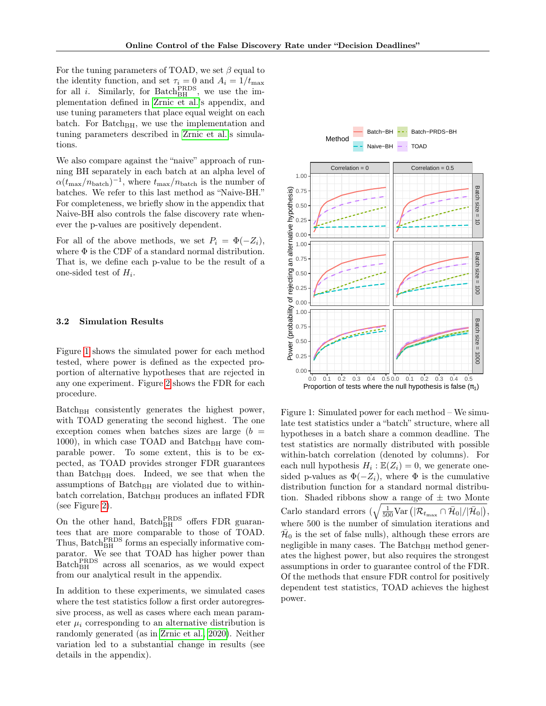For the tuning parameters of TOAD, we set  $\beta$  equal to the identity function, and set  $\tau_i = 0$  and  $A_i = 1/t_{\text{max}}$ for all *i*. Similarly, for Batch $_{BH}^{PRDS}$ , we use the implementation defined in [Zrnic et al.'](#page-7-7)s appendix, and use tuning parameters that place equal weight on each batch. For Batch<sub>BH</sub>, we use the implementation and tuning parameters described in [Zrnic et al.'](#page-7-7)s simulations.

We also compare against the "naive" approach of running BH separately in each batch at an alpha level of  $\alpha(t_{\text{max}}/n_{\text{batch}})^{-1}$ , where  $t_{\text{max}}/n_{\text{batch}}$  is the number of batches. We refer to this last method as "Naive-BH." For completeness, we briefly show in the appendix that Naive-BH also controls the false discovery rate whenever the p-values are positively dependent.

For all of the above methods, we set  $P_i = \Phi(-Z_i)$ , where  $\Phi$  is the CDF of a standard normal distribution. That is, we define each p-value to be the result of a one-sided test of  $H_i$ .

#### 3.2 Simulation Results

Figure [1](#page-5-0) shows the simulated power for each method tested, where power is defined as the expected proportion of alternative hypotheses that are rejected in any one experiment. Figure [2](#page-6-0) shows the FDR for each procedure.

 $Batch_{BH}$  consistently generates the highest power, with TOAD generating the second highest. The one exception comes when batches sizes are large  $(b =$ 1000), in which case TOAD and Batch<sub>BH</sub> have comparable power. To some extent, this is to be expected, as TOAD provides stronger FDR guarantees than Batch $_{BH}$  does. Indeed, we see that when the assumptions of  $Batch_{BH}$  are violated due to withinbatch correlation, Batch<sub>BH</sub> produces an inflated FDR (see Figure [2\)](#page-6-0).

On the other hand,  $Batch<sub>BH</sub><sup>PRDS</sup>$  offers FDR guarantees that are more comparable to those of TOAD. Thus,  $\text{Batch}_{\text{BH}}^{\text{PRDS}}$  forms an especially informative comparator. We see that TOAD has higher power than Batch<sub>BH</sub> across all scenarios, as we would expect from our analytical result in the appendix.

In addition to these experiments, we simulated cases where the test statistics follow a first order autoregressive process, as well as cases where each mean parameter  $\mu_i$  corresponding to an alternative distribution is randomly generated (as in [Zrnic et al., 2020\)](#page-7-7). Neither variation led to a substantial change in results (see details in the appendix).



<span id="page-5-0"></span>Figure 1: Simulated power for each method – We simulate test statistics under a "batch" structure, where all hypotheses in a batch share a common deadline. The test statistics are normally distributed with possible within-batch correlation (denoted by columns). For each null hypothesis  $H_i : \mathbb{E}(Z_i) = 0$ , we generate onesided p-values as  $\Phi(-Z_i)$ , where  $\Phi$  is the cumulative distribution function for a standard normal distribution. Shaded ribbons show a range of  $\pm$  two Monte Carlo standard errors  $(\sqrt{\frac{1}{500}Var(|\mathcal{R}_{t_{\text{max}}}\cap \bar{\mathcal{H}}_0|/|\bar{\mathcal{H}}_0|)},$ where 500 is the number of simulation iterations and  $\bar{\mathcal{H}}_0$  is the set of false nulls), although these errors are negligible in many cases. The Batch<sub>BH</sub> method generates the highest power, but also requires the strongest assumptions in order to guarantee control of the FDR. Of the methods that ensure FDR control for positively dependent test statistics, TOAD achieves the highest power.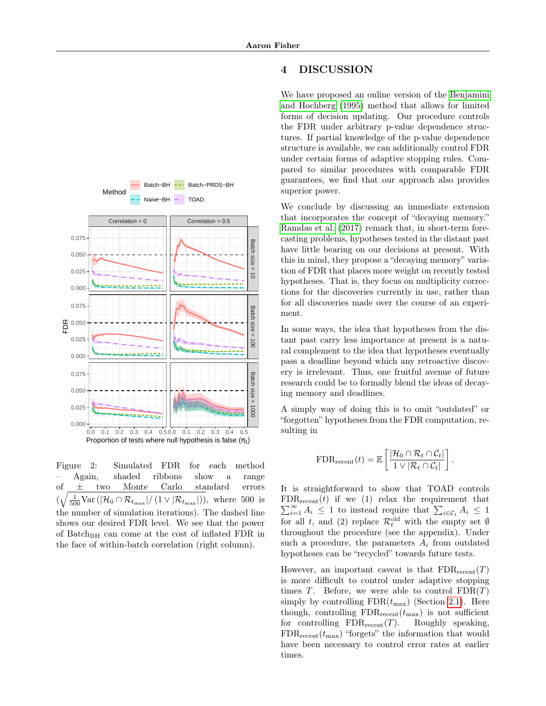

We have proposed an online version of the [Benjamini](#page-7-0) [and Hochberg](#page-7-0) [\(1995\)](#page-7-0) method that allows for limited forms of decision updating. Our procedure controls the FDR under arbitrary p-value dependence structures. If partial knowledge of the p-value dependence structure is available, we can additionally control FDR under certain forms of adaptive stopping rules. Compared to similar procedures with comparable FDR guarantees, we find that our approach also provides superior power.

We conclude by discussing an immediate extension that incorporates the concept of "decaying memory." [Ramdas et al.](#page-7-4) [\(2017\)](#page-7-4) remark that, in short-term forecasting problems, hypotheses tested in the distant past have little bearing on our decisions at present. With this in mind, they propose a "decaying memory" variation of FDR that places more weight on recently tested hypotheses. That is, they focus on multiplicity corrections for the discoveries currently in use, rather than for all discoveries made over the course of an experiment.

In some ways, the idea that hypotheses from the distant past carry less importance at present is a natural complement to the idea that hypotheses eventually pass a deadline beyond which any retroactive discovery is irrelevant. Thus, one fruitful avenue of future research could be to formally blend the ideas of decaying memory and deadlines.

A simply way of doing this is to omit "outdated" or "forgotten" hypotheses from the FDR computation, resulting in

$$
\text{FDR}_{\text{recent}}(t) = \mathbb{E}\left[\frac{|\mathcal{H}_0 \cap \mathcal{R}_t \cap \mathcal{C}_t|}{1 \vee |\mathcal{R}_t \cap \mathcal{C}_t|}\right].
$$

It is straightforward to show that TOAD controls  $FDR_{recent}(t)$  if we (1) relax the requirement that FDR<sub>recent</sub>(t) if we (1) relax the requirement that  $\sum_{i=1}^{\infty} A_i \leq 1$  to instead require that  $\sum_{i \in \mathcal{C}_t} A_i \leq 1$ for all t, and (2) replace  $\mathcal{R}_t^{\text{old}}$  with the empty set  $\emptyset$ throughout the procedure (see the appendix). Under such a procedure, the parameters  $A_i$  from outdated hypotheses can be "recycled" towards future tests.

However, an important caveat is that  $FDR_{recent}(T)$ is more difficult to control under adaptive stopping times T. Before, we were able to control  $FDR(T)$ simply by controlling  $FDR(t_{\text{max}})$  (Section [2.1\)](#page-3-0). Here though, controlling  $FDR_{recent}(t_{\text{max}})$  is not sufficient for controlling  $FDR_{recent}(T)$ . Roughly speaking,  $FDR_{recent}(t_{\text{max}})$  "forgets" the information that would have been necessary to control error rates at earlier times.



<span id="page-6-0"></span>Figure 2: Simulated FDR for each method – Again, shaded ribbons show a range of ± two Monte Carlo standard errors  $(\sqrt{\frac{1}{500} \text{Var}(|\mathcal{H}_0 \cap \mathcal{R}_{t_{\text{max}}}|/(1 \vee |\mathcal{R}_{t_{\text{max}}}|))},$  where 500 is the number of simulation iterations). The dashed line shows our desired FDR level. We see that the power of Batch<sub>BH</sub> can come at the cost of inflated FDR in the face of within-batch correlation (right column).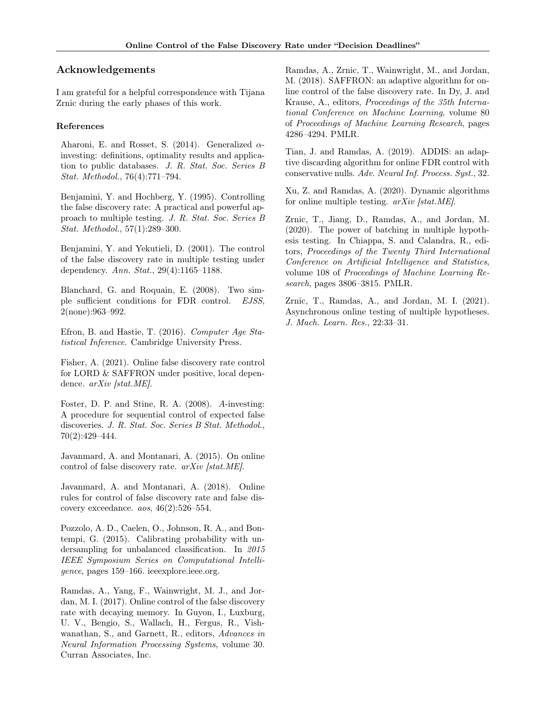## Acknowledgements

I am grateful for a helpful correspondence with Tijana Zrnic during the early phases of this work.

#### References

<span id="page-7-5"></span>Aharoni, E. and Rosset, S. (2014). Generalized  $\alpha$ investing: definitions, optimality results and application to public databases. J. R. Stat. Soc. Series B Stat. Methodol., 76(4):771–794.

<span id="page-7-0"></span>Benjamini, Y. and Hochberg, Y. (1995). Controlling the false discovery rate: A practical and powerful approach to multiple testing. J. R. Stat. Soc. Series B Stat. Methodol., 57(1):289–300.

<span id="page-7-14"></span>Benjamini, Y. and Yekutieli, D. (2001). The control of the false discovery rate in multiple testing under dependency. Ann. Stat., 29(4):1165–1188.

<span id="page-7-9"></span>Blanchard, G. and Roquain, E. (2008). Two simple sufficient conditions for FDR control. EJSS, 2(none):963–992.

<span id="page-7-1"></span>Efron, B. and Hastie, T. (2016). Computer Age Statistical Inference. Cambridge University Press.

<span id="page-7-12"></span>Fisher, A. (2021). Online false discovery rate control for LORD & SAFFRON under positive, local dependence.  $arXiv$  [stat.ME].

<span id="page-7-2"></span>Foster, D. P. and Stine, R. A. (2008). A-investing: A procedure for sequential control of expected false discoveries. J. R. Stat. Soc. Series B Stat. Methodol., 70(2):429–444.

<span id="page-7-3"></span>Javanmard, A. and Montanari, A. (2015). On online control of false discovery rate. arXiv [stat.ME].

<span id="page-7-13"></span>Javanmard, A. and Montanari, A. (2018). Online rules for control of false discovery rate and false discovery exceedance. aos, 46(2):526–554.

<span id="page-7-15"></span>Pozzolo, A. D., Caelen, O., Johnson, R. A., and Bontempi, G. (2015). Calibrating probability with undersampling for unbalanced classification. In 2015 IEEE Symposium Series on Computational Intelligence, pages 159–166. ieeexplore.ieee.org.

<span id="page-7-4"></span>Ramdas, A., Yang, F., Wainwright, M. J., and Jordan, M. I. (2017). Online control of the false discovery rate with decaying memory. In Guyon, I., Luxburg, U. V., Bengio, S., Wallach, H., Fergus, R., Vishwanathan, S., and Garnett, R., editors, Advances in Neural Information Processing Systems, volume 30. Curran Associates, Inc.

<span id="page-7-10"></span>Ramdas, A., Zrnic, T., Wainwright, M., and Jordan, M. (2018). SAFFRON: an adaptive algorithm for online control of the false discovery rate. In Dy, J. and Krause, A., editors, Proceedings of the 35th International Conference on Machine Learning, volume 80 of Proceedings of Machine Learning Research, pages 4286–4294. PMLR.

<span id="page-7-11"></span>Tian, J. and Ramdas, A. (2019). ADDIS: an adaptive discarding algorithm for online FDR control with conservative nulls. Adv. Neural Inf. Process. Syst., 32.

<span id="page-7-6"></span>Xu, Z. and Ramdas, A. (2020). Dynamic algorithms for online multiple testing. arXiv [stat.ME].

<span id="page-7-7"></span>Zrnic, T., Jiang, D., Ramdas, A., and Jordan, M. (2020). The power of batching in multiple hypothesis testing. In Chiappa, S. and Calandra, R., editors, Proceedings of the Twenty Third International Conference on Artificial Intelligence and Statistics, volume 108 of Proceedings of Machine Learning Research, pages 3806–3815. PMLR.

<span id="page-7-8"></span>Zrnic, T., Ramdas, A., and Jordan, M. I. (2021). Asynchronous online testing of multiple hypotheses. J. Mach. Learn. Res., 22:33–31.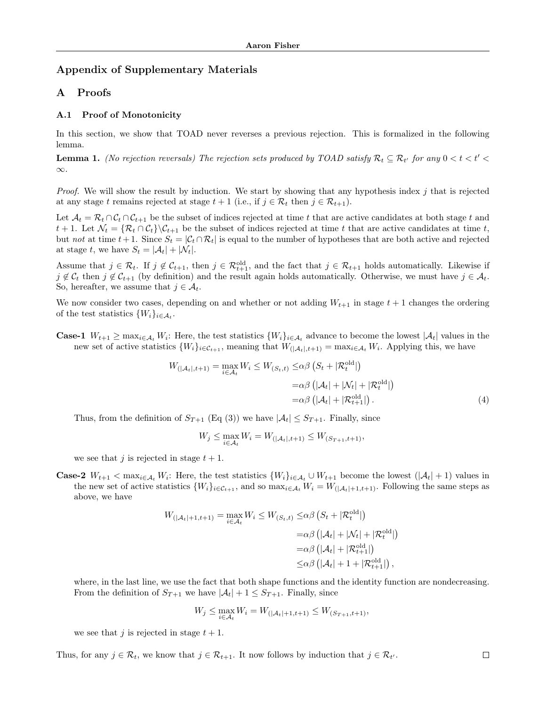# Appendix of Supplementary Materials

## A Proofs

#### A.1 Proof of Monotonicity

In this section, we show that TOAD never reverses a previous rejection. This is formalized in the following lemma.

<span id="page-8-0"></span>**Lemma 1.** (No rejection reversals) The rejection sets produced by TOAD satisfy  $\mathcal{R}_t \subseteq \mathcal{R}_{t'}$  for any  $0 < t < t' <$ ∞.

*Proof.* We will show the result by induction. We start by showing that any hypothesis index  $j$  that is rejected at any stage t remains rejected at stage  $t + 1$  (i.e., if  $j \in \mathcal{R}_t$  then  $j \in \mathcal{R}_{t+1}$ ).

Let  $\mathcal{A}_t = \mathcal{R}_t \cap \mathcal{C}_t \cap \mathcal{C}_{t+1}$  be the subset of indices rejected at time t that are active candidates at both stage t and t + 1. Let  $\mathcal{N}_t = \{ \mathcal{R}_t \cap \mathcal{C}_t \} \backslash \mathcal{C}_{t+1}$  be the subset of indices rejected at time t that are active candidates at time t, but not at time  $t+1$ . Since  $S_t = |\mathcal{C}_t \cap \mathcal{R}_t|$  is equal to the number of hypotheses that are both active and rejected at stage t, we have  $S_t = |\mathcal{A}_t| + |\mathcal{N}_t|$ .

Assume that  $j \in \mathcal{R}_t$ . If  $j \notin \mathcal{C}_{t+1}$ , then  $j \in \mathcal{R}_{t+1}$ , and the fact that  $j \in \mathcal{R}_{t+1}$  holds automatically. Likewise if  $j \notin \mathcal{C}_t$  then  $j \notin \mathcal{C}_{t+1}$  (by definition) and the result again holds automatically. Otherwise, we must have  $j \in \mathcal{A}_t$ . So, hereafter, we assume that  $j \in A_t$ .

We now consider two cases, depending on and whether or not adding  $W_{t+1}$  in stage  $t+1$  changes the ordering of the test statistics  $\{W_i\}_{i\in\mathcal{A}_t}$ .

**Case-1**  $W_{t+1} \ge \max_{i \in A_t} W_i$ : Here, the test statistics  $\{W_i\}_{i \in A_t}$  advance to become the lowest  $|A_t|$  values in the new set of active statistics  $\{W_i\}_{i \in \mathcal{C}_{t+1}}$ , meaning that  $W_{(|\mathcal{A}_t|, t+1)} = \max_{i \in \mathcal{A}_t} W_i$ . Applying this, we have

$$
W_{(|\mathcal{A}_t|, t+1)} = \max_{i \in \mathcal{A}_t} W_i \le W_{(S_t, t)} \le \alpha \beta \left( S_t + |\mathcal{R}_t^{\text{old}}| \right)
$$
  

$$
= \alpha \beta \left( |\mathcal{A}_t| + |\mathcal{N}_t| + |\mathcal{R}_t^{\text{old}}| \right)
$$
  

$$
= \alpha \beta \left( |\mathcal{A}_t| + |\mathcal{R}_{t+1}^{\text{old}}| \right). \tag{4}
$$

Thus, from the definition of  $S_{T+1}$  (Eq (3)) we have  $|\mathcal{A}_t| \leq S_{T+1}$ . Finally, since

$$
W_j \le \max_{i \in \mathcal{A}_t} W_i = W_{(|\mathcal{A}_t|, t+1)} \le W_{(S_{T+1}, t+1)},
$$

we see that j is rejected in stage  $t + 1$ .

**Case-2**  $W_{t+1} < \max_{i \in A_t} W_i$ : Here, the test statistics  $\{W_i\}_{i \in A_t} \cup W_{t+1}$  become the lowest  $(|A_t| + 1)$  values in the new set of active statistics  $\{W_i\}_{i\in\mathcal{C}_{t+1}}$ , and so  $\max_{i\in\mathcal{A}_t} W_i = W_{(|\mathcal{A}_t|+1,t+1)}$ . Following the same steps as above, we have

$$
W_{\left(|\mathcal{A}_t|+1,t+1\right)} = \max_{i \in \mathcal{A}_t} W_i \le W_{\left(S_t,t\right)} \le \alpha \beta \left(S_t + |\mathcal{R}_t^{\text{old}}|\right)
$$
  

$$
= \alpha \beta \left(|\mathcal{A}_t| + |\mathcal{N}_t| + |\mathcal{R}_t^{\text{old}}|\right)
$$
  

$$
= \alpha \beta \left(|\mathcal{A}_t| + |\mathcal{R}_{t+1}^{\text{old}}|\right)
$$
  

$$
\le \alpha \beta \left(|\mathcal{A}_t| + 1 + |\mathcal{R}_{t+1}^{\text{old}}|\right),
$$

where, in the last line, we use the fact that both shape functions and the identity function are nondecreasing. From the definition of  $S_{T+1}$  we have  $|\mathcal{A}_t| + 1 \leq S_{T+1}$ . Finally, since

$$
W_j \le \max_{i \in \mathcal{A}_t} W_i = W_{(|\mathcal{A}_t| + 1, t + 1)} \le W_{(S_{T+1}, t + 1)},
$$

we see that j is rejected in stage  $t + 1$ .

Thus, for any  $j \in \mathcal{R}_t$ , we know that  $j \in \mathcal{R}_{t+1}$ . It now follows by induction that  $j \in \mathcal{R}_{t'}$ .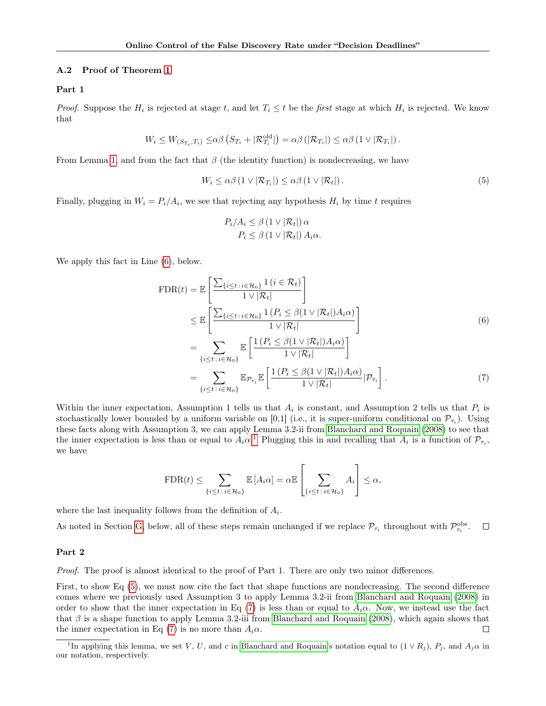#### <span id="page-9-4"></span>A.2 Proof of Theorem [1](#page-4-1)

#### Part 1

*Proof.* Suppose the  $H_i$  is rejected at stage t, and let  $T_i \leq t$  be the first stage at which  $H_i$  is rejected. We know that

$$
W_i \leq W_{(S_{T_i},T_i)} \leq \alpha \beta \left( S_{T_i} + |\mathcal{R}_{T_i}^{\text{old}}| \right) = \alpha \beta \left( |\mathcal{R}_{T_i}| \right) \leq \alpha \beta \left( 1 \vee |\mathcal{R}_{T_i}| \right).
$$

From Lemma [1,](#page-8-0) and from the fact that  $\beta$  (the identity function) is nondecreasing, we have

<span id="page-9-2"></span>
$$
W_i \leq \alpha \beta \left(1 \vee |\mathcal{R}_{T_i}| \right) \leq \alpha \beta \left(1 \vee |\mathcal{R}_t|\right). \tag{5}
$$

Finally, plugging in  $W_i = P_i/A_i$ , we see that rejecting any hypothesis  $H_i$  by time t requires

<span id="page-9-3"></span><span id="page-9-0"></span>
$$
P_i/A_i \leq \beta (1 \vee |\mathcal{R}_t|) \alpha
$$

$$
P_i \leq \beta (1 \vee |\mathcal{R}_t|) A_i \alpha.
$$

We apply this fact in Line [\(6\)](#page-9-0), below.

$$
\text{FDR}(t) = \mathbb{E}\left[\frac{\sum_{\{i \le t : i \in \mathcal{H}_0\}} 1(i \in \mathcal{R}_t)}{1 \vee |\mathcal{R}_t|}\right] \n\le \mathbb{E}\left[\frac{\sum_{\{i \le t : i \in \mathcal{H}_0\}} 1(P_i \le \beta(1 \vee |\mathcal{R}_t|) A_i \alpha)}{1 \vee |\mathcal{R}_t|}\right] \n= \sum_{\{i \le t : i \in \mathcal{H}_0\}} \mathbb{E}\left[\frac{1(P_i \le \beta(1 \vee |\mathcal{R}_t|) A_i \alpha)}{1 \vee |\mathcal{R}_t|}\right] \n= \sum_{\{i \le t : i \in \mathcal{H}_0\}} \mathbb{E}_{\mathcal{P}_{\tau_i}} \mathbb{E}\left[\frac{1(P_i \le \beta(1 \vee |\mathcal{R}_t|) A_i \alpha)}{1 \vee |\mathcal{R}_t|}\big| \mathcal{P}_{\tau_i}\right].
$$
\n(7)

Within the inner expectation, Assumption 1 tells us that  $A_i$  is constant, and Assumption 2 tells us that  $P_i$  is stochastically lower bounded by a uniform variable on [0,1] (i.e., it is super-uniform conditional on  $\mathcal{P}_{\tau_i}$ ). Using these facts along with Assumption 3, we can apply Lemma 3.2-ii from [Blanchard and Roquain](#page-7-9) [\(2008\)](#page-7-9) to see that the inner expectation is less than or equal to  $A_i \alpha$ <sup>[1](#page-9-1)</sup>. Plugging this in and recalling that  $A_i$  is a function of  $\mathcal{P}_{\tau_i}$ , we have

$$
\text{FDR}(t) \le \sum_{\{i \le t \,:\, i \in \mathcal{H}_0\}} \mathbb{E}\left[A_i \alpha\right] = \alpha \mathbb{E}\left[\sum_{\{i \le t \,:\, i \in \mathcal{H}_0\}} A_i\right] \le \alpha,
$$

where the last inequality follows from the definition of  $A_i$ .

As noted in Section [G,](#page-18-0) below, all of these steps remain unchanged if we replace  $\mathcal{P}_{\tau_i}$  throughout with  $\mathcal{P}_{\tau_i}^{\text{obs}}$ .  $\Box$ 

#### Part 2

Proof. The proof is almost identical to the proof of Part 1. There are only two minor differences.

First, to show Eq [\(5\)](#page-9-2), we must now cite the fact that shape functions are nondecreasing. The second difference comes where we previously used Assumption 3 to apply Lemma 3.2-ii from [Blanchard and Roquain](#page-7-9) [\(2008\)](#page-7-9) in order to show that the inner expectation in Eq [\(7\)](#page-9-3) is less than or equal to  $A_i\alpha$ . Now, we instead use the fact that  $\beta$  is a shape function to apply Lemma 3.2-iii from [Blanchard and Roquain](#page-7-9) [\(2008\)](#page-7-9), which again shows that the inner expectation in Eq [\(7\)](#page-9-3) is no more than  $A_i\alpha$ .  $\Box$ 

<span id="page-9-1"></span><sup>&</sup>lt;sup>1</sup>In applying this lemma, we set V, U, and c in [Blanchard and Roquain'](#page-7-9)s notation equal to  $(1 \vee R_j)$ ,  $P_j$ , and  $A_j \alpha$  in our notation, respectively.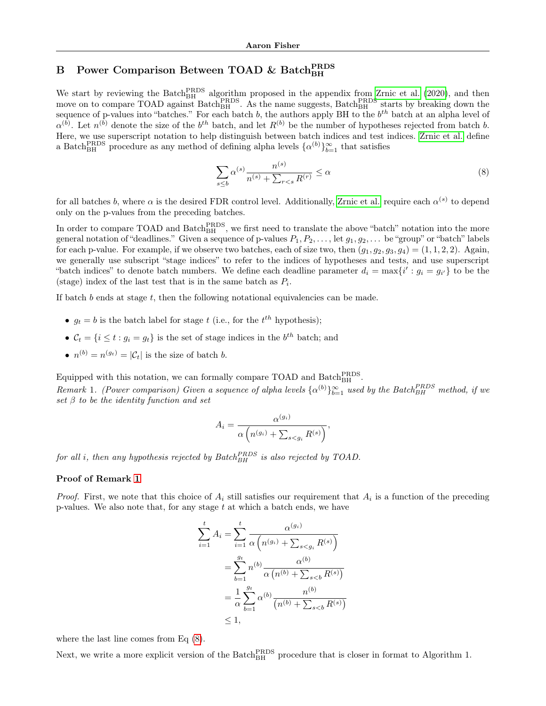# B Power Comparison Between TOAD & Batch<sub>BH</sub>

We start by reviewing the Batch<sup>PRDS</sup> algorithm proposed in the appendix from [Zrnic et al.](#page-7-7) [\(2020\)](#page-7-7), and then move on to compare TOAD against Batch $_{\text{BH}}^{\text{PRDS}}$ . As the name suggests, Batch $_{\text{BH}}^{\text{PRDS}}$  starts by breaking down the sequence of p-values into "batches." For each batch b, the authors apply BH to the  $b^{th}$  batch at an alpha level of  $\alpha^{(b)}$ . Let  $n^{(b)}$  denote the size of the  $b^{th}$  batch, and let  $R^{(b)}$  be the number of hypotheses rejected from batch b. Here, we use superscript notation to help distinguish between batch indices and test indices. [Zrnic et al.](#page-7-7) define a Batch<sup>PRDS</sup> procedure as any method of defining alpha levels  $\{\alpha^{(b)}\}_{b=1}^{\infty}$  that satisfies

<span id="page-10-1"></span>
$$
\sum_{s\leq b} \alpha^{(s)} \frac{n^{(s)}}{n^{(s)} + \sum_{r
$$

for all batches b, where  $\alpha$  is the desired FDR control level. Additionally, [Zrnic et al.](#page-7-7) require each  $\alpha^{(s)}$  to depend only on the p-values from the preceding batches.

In order to compare TOAD and Batch<sup>PRDS</sup>, we first need to translate the above "batch" notation into the more general notation of "deadlines." Given a sequence of p-values  $P_1, P_2, \ldots$ , let  $g_1, g_2, \ldots$  be "group" or "batch" labels for each p-value. For example, if we observe two batches, each of size two, then  $(g_1, g_2, g_3, g_4) = (1, 1, 2, 2)$ . Again, we generally use subscript "stage indices" to refer to the indices of hypotheses and tests, and use superscript "batch indices" to denote batch numbers. We define each deadline parameter  $d_i = \max\{i' : g_i = g_{i'}\}$  to be the (stage) index of the last test that is in the same batch as  $P_i$ .

If batch  $b$  ends at stage  $t$ , then the following notational equivalencies can be made.

- $g_t = b$  is the batch label for stage t (i.e., for the  $t^{th}$  hypothesis);
- $C_t = \{i \le t : g_i = g_t\}$  is the set of stage indices in the  $b^{th}$  batch; and
- $n^{(b)} = n^{(g_t)} = |\mathcal{C}_t|$  is the size of batch b.

Equipped with this notation, we can formally compare TOAD and Batch  $_{\rm BH}^{\rm PRDS}$ .

<span id="page-10-0"></span>Remark 1. (Power comparison) Given a sequence of alpha levels  $\{\alpha^{(b)}\}_{b=1}^{\infty}$  used by the Batch $_{BH}^{PRDS}$  method, if we set  $\beta$  to be the identity function and set

$$
A_i = \frac{\alpha^{(g_i)}}{\alpha \left( n^{(g_i)} + \sum_{s < g_i} R^{(s)} \right)},
$$

for all i, then any hypothesis rejected by  $Batch_{BH}^{PRDS}$  is also rejected by TOAD.

#### Proof of Remark [1](#page-10-0)

*Proof.* First, we note that this choice of  $A_i$  still satisfies our requirement that  $A_i$  is a function of the preceding p-values. We also note that, for any stage  $t$  at which a batch ends, we have

$$
\sum_{i=1}^{t} A_i = \sum_{i=1}^{t} \frac{\alpha^{(g_i)}}{\alpha \left( n^{(g_i)} + \sum_{s < g_i} R^{(s)} \right)}
$$
\n
$$
= \sum_{b=1}^{g_t} n^{(b)} \frac{\alpha^{(b)}}{\alpha \left( n^{(b)} + \sum_{s < b} R^{(s)} \right)}
$$
\n
$$
= \frac{1}{\alpha} \sum_{b=1}^{g_t} \alpha^{(b)} \frac{n^{(b)}}{\left( n^{(b)} + \sum_{s < b} R^{(s)} \right)}
$$
\n
$$
\leq 1,
$$

where the last line comes from Eq [\(8\)](#page-10-1).

Next, we write a more explicit version of the  $\text{Batch}_{\text{BH}}^{\text{PRDS}}$  procedure that is closer in format to Algorithm 1.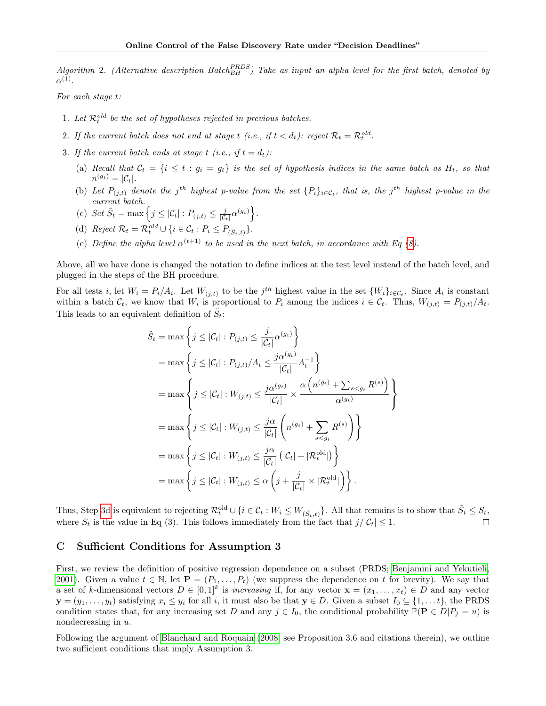Algorithm 2. (Alternative description Batch  $R_{BH}^{PRLDS}$ ) Take as input an alpha level for the first batch, denoted by  $\alpha^{(1)}$ .

For each stage t:

- 1. Let  $\mathcal{R}_t^{old}$  be the set of hypotheses rejected in previous batches.
- 2. If the current batch does not end at stage t (i.e., if  $t < d_t$ ): reject  $\mathcal{R}_t = \mathcal{R}_t^{old}$ .
- 3. If the current batch ends at stage t (i.e., if  $t = d_t$ ):
	- (a) Recall that  $C_t = \{i \le t : g_i = g_t\}$  is the set of hypothesis indices in the same batch as  $H_t$ , so that  $n^{(g_t)}=|\mathcal{C}_t|.$
	- (b) Let  $P_{(j,t)}$  denote the j<sup>th</sup> highest p-value from the set  $\{P_i\}_{i\in\mathcal{C}_t}$ , that is, the j<sup>th</sup> highest p-value in the current batch.
	- (c) Set  $\tilde{S}_t = \max \left\{ j \leq |\mathcal{C}_t| : P_{(j,t)} \leq \frac{j}{|\mathcal{C}_t|} \alpha^{(g_t)} \right\}.$
	- (d) Reject  $\mathcal{R}_t = \mathcal{R}_t^{old} \cup \{i \in \mathcal{C}_t : P_i \leq P_{(\tilde{S}_t, t)}\}.$

 $\frac{1}{2}$ 

<span id="page-11-0"></span>(e) Define the alpha level  $\alpha^{(t+1)}$  to be used in the next batch, in accordance with Eq [\(8\)](#page-10-1).

Above, all we have done is changed the notation to define indices at the test level instead of the batch level, and plugged in the steps of the BH procedure.

For all tests *i*, let  $W_i = P_i/A_i$ . Let  $W_{(j,t)}$  to be the j<sup>th</sup> highest value in the set  $\{W_i\}_{i \in \mathcal{C}_t}$ . Since  $A_i$  is constant within a batch  $\mathcal{C}_t$ , we know that  $W_i$  is proportional to  $P_i$  among the indices  $i \in \mathcal{C}_t$ . Thus,  $W_{(j,t)} = P_{(j,t)}/A_t$ . This leads to an equivalent definition of  $\tilde{S}_t$ :

$$
\tilde{S}_t = \max \left\{ j \leq |\mathcal{C}_t| : P_{(j,t)} \leq \frac{j}{|\mathcal{C}_t|} \alpha^{(g_t)} \right\}
$$
\n
$$
= \max \left\{ j \leq |\mathcal{C}_t| : P_{(j,t)}/A_t \leq \frac{j\alpha^{(g_t)}}{|\mathcal{C}_t|} A_t^{-1} \right\}
$$
\n
$$
= \max \left\{ j \leq |\mathcal{C}_t| : W_{(j,t)} \leq \frac{j\alpha^{(g_t)}}{|\mathcal{C}_t|} \times \frac{\alpha \left( n^{(g_t)} + \sum_{s < g_t} R^{(s)} \right)}{\alpha^{(g_t)}} \right\}
$$
\n
$$
= \max \left\{ j \leq |\mathcal{C}_t| : W_{(j,t)} \leq \frac{j\alpha}{|\mathcal{C}_t|} \left( n^{(g_t)} + \sum_{s < g_t} R^{(s)} \right) \right\}
$$
\n
$$
= \max \left\{ j \leq |\mathcal{C}_t| : W_{(j,t)} \leq \frac{j\alpha}{|\mathcal{C}_t|} \left( |\mathcal{C}_t| + |\mathcal{R}_t^{\text{old}}| \right) \right\}
$$
\n
$$
= \max \left\{ j \leq |\mathcal{C}_t| : W_{(j,t)} \leq \alpha \left( j + \frac{j}{|\mathcal{C}_t|} \times |\mathcal{R}_t^{\text{old}}| \right) \right\}.
$$

Thus, Step [3d](#page-11-0) is equivalent to rejecting  $\mathcal{R}_t^{\text{old}} \cup \{i \in \mathcal{C}_t : W_i \leq W_{(\tilde{S}_t,t)}\}$ . All that remains is to show that  $\tilde{S}_t \leq S_t$ , where  $S_t$  is the value in Eq (3). This follows immediately from the fact that  $j/|\mathcal{C}_t| \leq 1$ .

## <span id="page-11-1"></span>C Sufficient Conditions for Assumption 3

First, we review the definition of positive regression dependence on a subset (PRDS; [Benjamini and Yekutieli,](#page-7-14) [2001\)](#page-7-14). Given a value  $t \in \mathbb{N}$ , let  $\mathbf{P} = (P_1, \ldots, P_t)$  (we suppress the dependence on t for brevity). We say that a set of k-dimensional vectors  $D \in [0,1]^k$  is *increasing* if, for any vector  $\mathbf{x} = (x_1, \ldots, x_t) \in D$  and any vector  $y = (y_1, \ldots, y_t)$  satisfying  $x_i \leq y_i$  for all i, it must also be that  $y \in D$ . Given a subset  $I_0 \subseteq \{1, \ldots, t\}$ , the PRDS condition states that, for any increasing set D and any  $j \in I_0$ , the conditional probability  $\mathbb{P}(\mathbf{P} \in D | P_j = u)$  is nondecreasing in u.

Following the argument of [Blanchard and Roquain](#page-7-9) [\(2008;](#page-7-9) see Proposition 3.6 and citations therein), we outline two sufficient conditions that imply Assumption 3.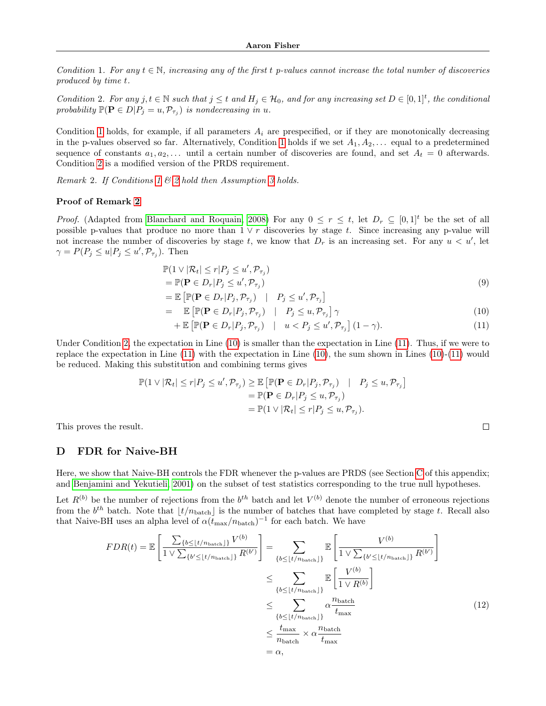<span id="page-12-0"></span>Condition 1. For any  $t \in \mathbb{N}$ , increasing any of the first t p-values cannot increase the total number of discoveries produced by time t.

<span id="page-12-1"></span>Condition 2. For any  $j, t \in \mathbb{N}$  such that  $j \leq t$  and  $H_j \in \mathcal{H}_0$ , and for any increasing set  $D \in [0, 1]^t$ , the conditional probability  $\mathbb{P}(\mathbf{P} \in D | P_j = u, \mathcal{P}_{\tau_j})$  is nondecreasing in u.

Condition [1](#page-12-0) holds, for example, if all parameters  $A_i$  are prespecified, or if they are monotonically decreasing in the p-values observed so far. Alternatively, Condition [1](#page-12-0) holds if we set  $A_1, A_2, \ldots$  equal to a predetermined sequence of constants  $a_1, a_2, \ldots$  until a certain number of discoveries are found, and set  $A_t = 0$  afterwards. Condition [2](#page-12-1) is a modified version of the PRDS requirement.

<span id="page-12-2"></span>Remark 2. If Conditions [1](#page-12-0)  $\mathcal B$  [2](#page-12-1) hold then Assumption [3](#page-3-3) holds.

 $=$ 

#### Proof of Remark [2](#page-12-2)

*Proof.* (Adapted from [Blanchard and Roquain, 2008\)](#page-7-9) For any  $0 \le r \le t$ , let  $D_r \subseteq [0,1]^t$  be the set of all possible p-values that produce no more than  $1 \vee r$  discoveries by stage t. Since increasing any p-value will not increase the number of discoveries by stage t, we know that  $D_r$  is an increasing set. For any  $u < u'$ , let  $\gamma = P(P_j \leq u | P_j \leq u', \mathcal{P}_{\tau_j}).$  Then

$$
\mathbb{P}(1 \vee |\mathcal{R}_t| \le r | P_j \le u', \mathcal{P}_{\tau_j})
$$
  
= 
$$
\mathbb{P}(\mathbf{P} \in D_r | P_j \le u', \mathcal{P}_{\tau_j})
$$
 (9)

$$
= \mathbb{E}\left[\mathbb{P}(\mathbf{P} \in D_r | P_j, \mathcal{P}_{\tau_j}) \quad | \quad P_j \leq u', \mathcal{P}_{\tau_j}\right]
$$

$$
\mathbb{E}\left[\mathbb{P}(\mathbf{P} \in D_r | P_j, \mathcal{P}_{\tau_j}) \quad | \quad P_j \leq u, \mathcal{P}_{\tau_j}\right] \gamma \tag{10}
$$

$$
+ \mathbb{E}\left[\mathbb{P}(\mathbf{P} \in D_r | P_j, \mathcal{P}_{\tau_j}) \quad | \quad u < P_j \le u', \mathcal{P}_{\tau_j}\right] (1 - \gamma). \tag{11}
$$

Under Condition [2,](#page-12-1) the expectation in Line [\(10\)](#page-12-3) is smaller than the expectation in Line [\(11\)](#page-12-4). Thus, if we were to replace the expectation in Line [\(11\)](#page-12-4) with the expectation in Line [\(10\)](#page-12-3), the sum shown in Lines [\(10\)](#page-12-3)-[\(11\)](#page-12-4) would be reduced. Making this substitution and combining terms gives

$$
\mathbb{P}(1 \vee |\mathcal{R}_t| \le r | P_j \le u', P_{\tau_j}) \ge \mathbb{E} \left[ \mathbb{P}(\mathbf{P} \in D_r | P_j, P_{\tau_j}) \mid P_j \le u, P_{\tau_j} \right]
$$
  
=  $\mathbb{P}(\mathbf{P} \in D_r | P_j \le u, P_{\tau_j})$   
=  $\mathbb{P}(1 \vee |\mathcal{R}_t| \le r | P_j \le u, P_{\tau_j}).$ 

This proves the result.

## D FDR for Naive-BH

Here, we show that Naive-BH controls the FDR whenever the p-values are PRDS (see Section [C](#page-11-1) of this appendix; and [Benjamini and Yekutieli, 2001\)](#page-7-14) on the subset of test statistics corresponding to the true null hypotheses.

Let  $R^{(b)}$  be the number of rejections from the  $b^{th}$  batch and let  $V^{(b)}$  denote the number of erroneous rejections from the  $b^{th}$  batch. Note that  $\lfloor t/n_{\text{batch}} \rfloor$  is the number of batches that have completed by stage t. Recall also that Naive-BH uses an alpha level of  $\alpha(t_{\text{max}}/n_{\text{batch}})^{-1}$  for each batch. We have

$$
FDR(t) = \mathbb{E}\left[\frac{\sum_{\{b \leq \lfloor t/n_{\text{batch}}\rfloor\}} V^{(b)}}{1 \vee \sum_{\{b' \leq \lfloor t/n_{\text{batch}}\rfloor\}} R^{(b')}}\right] = \sum_{\{b \leq \lfloor t/n_{\text{batch}}\rfloor\}} \mathbb{E}\left[\frac{V^{(b)}}{1 \vee \sum_{\{b' \leq \lfloor t/n_{\text{batch}}\rfloor\}} R^{(b')}}\right]
$$

$$
\leq \sum_{\{b \leq \lfloor t/n_{\text{batch}}\rfloor\}} \mathbb{E}\left[\frac{V^{(b)}}{1 \vee R^{(b)}}\right]
$$

$$
\leq \sum_{\{b \leq \lfloor t/n_{\text{batch}}\rfloor\}} \alpha \frac{n_{\text{batch}}}{t_{\text{max}}}
$$

$$
\leq \frac{t_{\text{max}}}{n_{\text{batch}}} \times \alpha \frac{n_{\text{batch}}}{t_{\text{max}}}
$$
(12)
$$
= \alpha,
$$

<span id="page-12-5"></span><span id="page-12-4"></span><span id="page-12-3"></span> $\Box$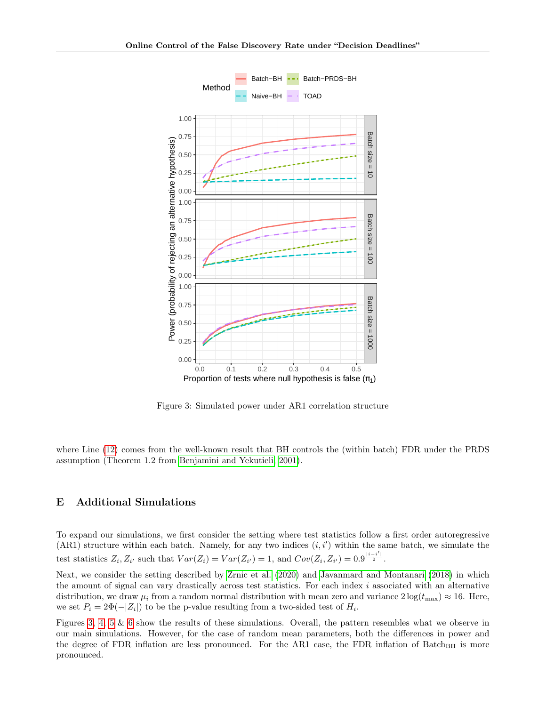

<span id="page-13-0"></span>Figure 3: Simulated power under AR1 correlation structure

where Line [\(12\)](#page-12-5) comes from the well-known result that BH controls the (within batch) FDR under the PRDS assumption (Theorem 1.2 from [Benjamini and Yekutieli, 2001\)](#page-7-14).

## E Additional Simulations

To expand our simulations, we first consider the setting where test statistics follow a first order autoregressive  $(ARI)$  structure within each batch. Namely, for any two indices  $(i, i')$  within the same batch, we simulate the test statistics  $Z_i$ ,  $Z_{i'}$  such that  $Var(Z_i) = Var(Z_{i'}) = 1$ , and  $Cov(Z_i, Z_{i'}) = 0.9^{\frac{|i-i'|}{2}}$ .

Next, we consider the setting described by [Zrnic et al.](#page-7-7) [\(2020\)](#page-7-7) and [Javanmard and Montanari](#page-7-13) [\(2018\)](#page-7-13) in which the amount of signal can vary drastically across test statistics. For each index  $i$  associated with an alternative distribution, we draw  $\mu_i$  from a random normal distribution with mean zero and variance  $2\log(t_{\text{max}}) \approx 16$ . Here, we set  $P_i = 2\Phi(-|Z_i|)$  to be the p-value resulting from a two-sided test of  $H_i$ .

Figures [3,](#page-13-0) [4,](#page-14-0) [5](#page-15-0) & [6](#page-16-0) show the results of these simulations. Overall, the pattern resembles what we observe in our main simulations. However, for the case of random mean parameters, both the differences in power and the degree of FDR inflation are less pronounced. For the AR1 case, the FDR inflation of Batch<sub>BH</sub> is more pronounced.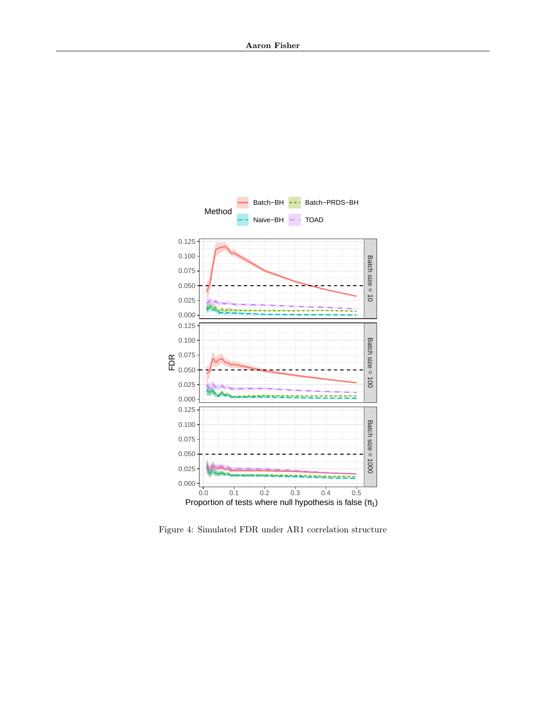

<span id="page-14-0"></span>Figure 4: Simulated FDR under AR1 correlation structure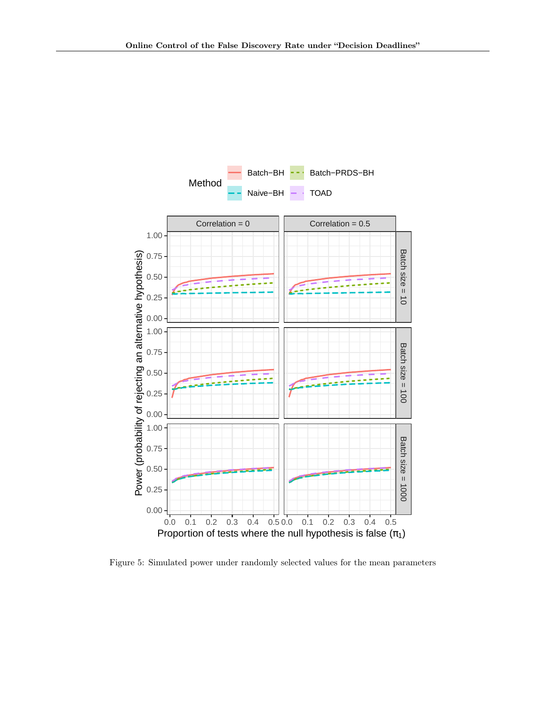

<span id="page-15-0"></span>Figure 5: Simulated power under randomly selected values for the mean parameters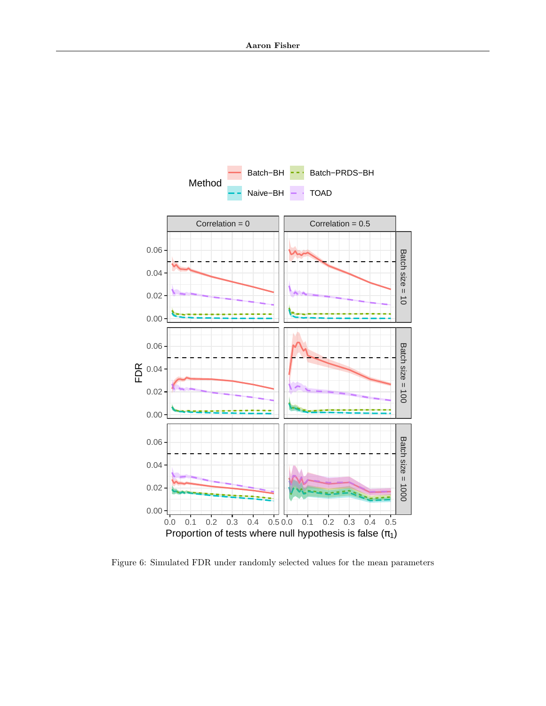

<span id="page-16-0"></span>Figure 6: Simulated FDR under randomly selected values for the mean parameters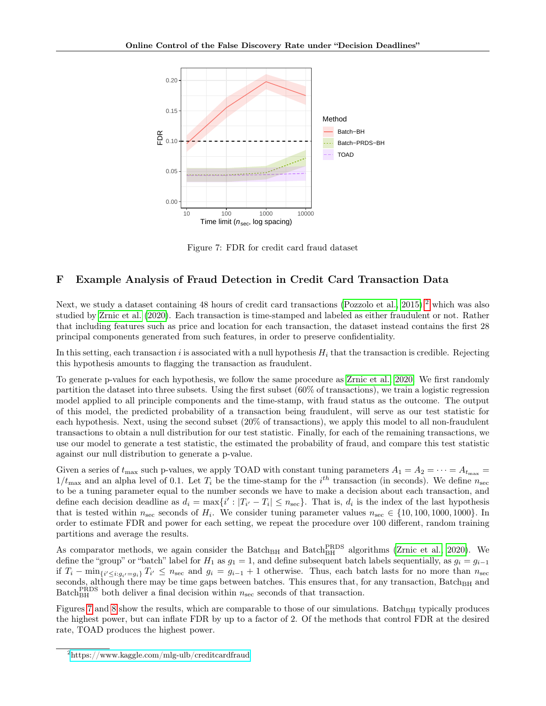

<span id="page-17-1"></span>Figure 7: FDR for credit card fraud dataset

# F Example Analysis of Fraud Detection in Credit Card Transaction Data

Next, we study a dataset containing 48 hours of credit card transactions [\(Pozzolo et al., 2015\)](#page-7-15),<sup>[2](#page-17-0)</sup> which was also studied by [Zrnic et al.](#page-7-7) [\(2020\)](#page-7-7). Each transaction is time-stamped and labeled as either fraudulent or not. Rather that including features such as price and location for each transaction, the dataset instead contains the first 28 principal components generated from such features, in order to preserve confidentiality.

In this setting, each transaction i is associated with a null hypothesis  $H_i$  that the transaction is credible. Rejecting this hypothesis amounts to flagging the transaction as fraudulent.

To generate p-values for each hypothesis, we follow the same procedure as [Zrnic et al., 2020.](#page-7-7) We first randomly partition the dataset into three subsets. Using the first subset (60% of transactions), we train a logistic regression model applied to all principle components and the time-stamp, with fraud status as the outcome. The output of this model, the predicted probability of a transaction being fraudulent, will serve as our test statistic for each hypothesis. Next, using the second subset (20% of transactions), we apply this model to all non-fraudulent transactions to obtain a null distribution for our test statistic. Finally, for each of the remaining transactions, we use our model to generate a test statistic, the estimated the probability of fraud, and compare this test statistic against our null distribution to generate a p-value.

Given a series of  $t_{\text{max}}$  such p-values, we apply TOAD with constant tuning parameters  $A_1 = A_2 = \cdots = A_{t_{\text{max}}}$  $1/t_{\text{max}}$  and an alpha level of 0.1. Let  $T_i$  be the time-stamp for the i<sup>th</sup> transaction (in seconds). We define  $n_{\text{sec}}$ to be a tuning parameter equal to the number seconds we have to make a decision about each transaction, and define each decision deadline as  $d_i = \max\{i' : |T_{i'} - T_i| \le n_{\text{sec}}\}$ . That is,  $d_i$  is the index of the last hypothesis that is tested within  $n_{\text{sec}}$  seconds of  $H_i$ . We consider tuning parameter values  $n_{\text{sec}} \in \{10, 100, 1000, 1000\}$ . In order to estimate FDR and power for each setting, we repeat the procedure over 100 different, random training partitions and average the results.

As comparator methods, we again consider the Batch<sub>BH</sub> and Batch<sub>BH</sub> algorithms [\(Zrnic et al., 2020\)](#page-7-7). We define the "group" or "batch" label for  $H_1$  as  $g_1 = 1$ , and define subsequent batch labels sequentially, as  $g_i = g_{i-1}$ if  $T_i - \min_{\{i' \leq i : g_{i'} = g_i\}} T_{i'} \leq n_{\text{sec}}$  and  $g_i = g_{i-1} + 1$  otherwise. Thus, each batch lasts for no more than  $n_{\text{sec}}$ seconds, although there may be time gaps between batches. This ensures that, for any transaction,  $Batch_{BH}$  and Batch<sub>BH</sub> both deliver a final decision within  $n<sub>sec</sub>$  seconds of that transaction.

Figures [7](#page-17-1) and [8](#page-18-1) show the results, which are comparable to those of our simulations. Batch<sub>BH</sub> typically produces the highest power, but can inflate FDR by up to a factor of 2. Of the methods that control FDR at the desired rate, TOAD produces the highest power.

<span id="page-17-0"></span><sup>2</sup><https://www.kaggle.com/mlg-ulb/creditcardfraud>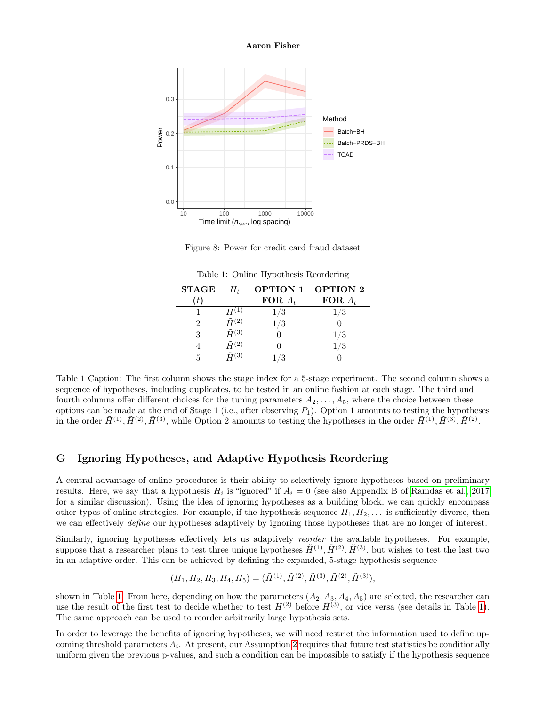

<span id="page-18-1"></span>Figure 8: Power for credit card fraud dataset

| <b>STAGE</b>   | $H_t$             | <b>OPTION 1</b> | <b>OPTION 2</b> |
|----------------|-------------------|-----------------|-----------------|
| (t)            |                   | FOR $A_t$       | FOR $A_t$       |
|                | $H^{(1)}$         | $1/3\,$         | $1/3\,$         |
| $\mathfrak{D}$ | $\tilde{H}^{(2)}$ | 1/3             |                 |
| 3              | $\tilde{H}^{(3)}$ |                 | $1/3\,$         |
|                | $\tilde{H}^{(2)}$ |                 | 1/3             |
| 5              | $\tilde{H}^{(3)}$ | /3              |                 |

<span id="page-18-2"></span>Table 1: Online Hypothesis Reordering

Table 1 Caption: The first column shows the stage index for a 5-stage experiment. The second column shows a sequence of hypotheses, including duplicates, to be tested in an online fashion at each stage. The third and fourth columns offer different choices for the tuning parameters  $A_2, \ldots, A_5$ , where the choice between these options can be made at the end of Stage 1 (i.e., after observing  $P_1$ ). Option 1 amounts to testing the hypotheses in the order  $\tilde{H}^{(1)}, \tilde{H}^{(2)}, \tilde{H}^{(3)},$  while Option 2 amounts to testing the hypotheses in the order  $\tilde{H}^{(1)}, \tilde{H}^{(3)}, \tilde{H}^{(2)}$ .

## <span id="page-18-0"></span>G Ignoring Hypotheses, and Adaptive Hypothesis Reordering

A central advantage of online procedures is their ability to selectively ignore hypotheses based on preliminary results. Here, we say that a hypothesis  $H_i$  is "ignored" if  $A_i = 0$  (see also Appendix B of [Ramdas et al., 2017](#page-7-4) for a similar discussion). Using the idea of ignoring hypotheses as a building block, we can quickly encompass other types of online strategies. For example, if the hypothesis sequence  $H_1, H_2, \ldots$  is sufficiently diverse, then we can effectively *define* our hypotheses adaptively by ignoring those hypotheses that are no longer of interest.

Similarly, ignoring hypotheses effectively lets us adaptively *reorder* the available hypotheses. For example, suppose that a researcher plans to test three unique hypotheses  $\tilde{H}^{(1)}, \tilde{H}^{(2)}, \tilde{H}^{(3)}$ , but wishes to test the last two in an adaptive order. This can be achieved by defining the expanded, 5-stage hypothesis sequence

$$
(H_1, H_2, H_3, H_4, H_5) = (\tilde{H}^{(1)}, \tilde{H}^{(2)}, \tilde{H}^{(3)}, \tilde{H}^{(2)}, \tilde{H}^{(3)}),
$$

shown in Table [1.](#page-18-2) From here, depending on how the parameters  $(A_2, A_3, A_4, A_5)$  are selected, the researcher can use the result of the first test to decide whether to test  $H^{(2)}$  before  $H^{(3)}$ , or vice versa (see details in Table [1\)](#page-18-2). The same approach can be used to reorder arbitrarily large hypothesis sets.

In order to leverage the benefits of ignoring hypotheses, we will need restrict the information used to define upcoming threshold parameters  $A_i$ . At present, our Assumption [2](#page-2-0) requires that future test statistics be conditionally uniform given the previous p-values, and such a condition can be impossible to satisfy if the hypothesis sequence